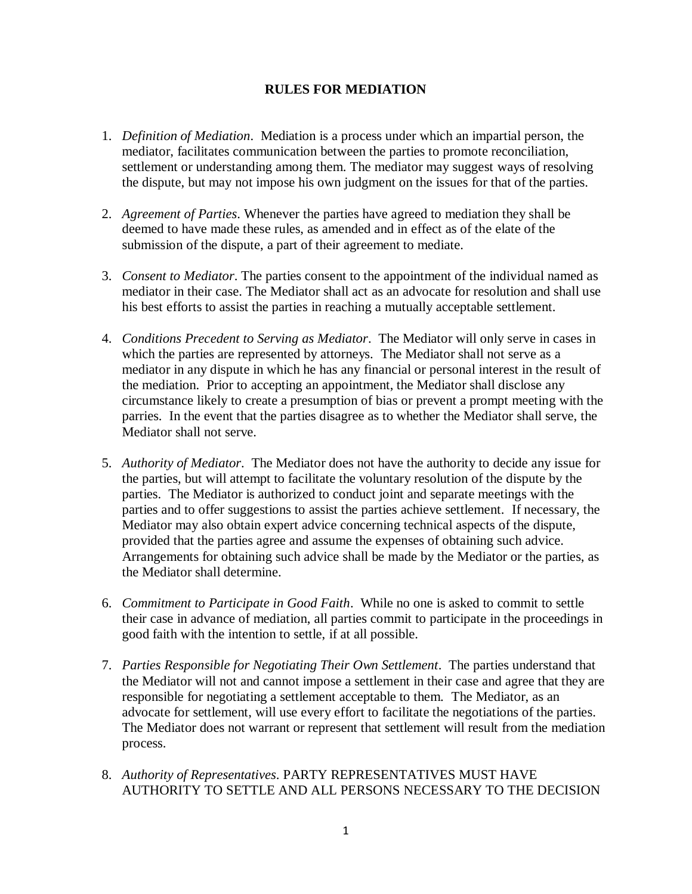## **RULES FOR MEDIATION**

- 1. *Definition of Mediation*. Mediation is a process under which an impartial person, the mediator, facilitates communication between the parties to promote reconciliation, settlement or understanding among them. The mediator may suggest ways of resolving the dispute, but may not impose his own judgment on the issues for that of the parties.
- 2. *Agreement of Parties*. Whenever the parties have agreed to mediation they shall be deemed to have made these rules, as amended and in effect as of the elate of the submission of the dispute, a part of their agreement to mediate.
- 3. *Consent to Mediator*. The parties consent to the appointment of the individual named as mediator in their case. The Mediator shall act as an advocate for resolution and shall use his best efforts to assist the parties in reaching a mutually acceptable settlement.
- 4. *Conditions Precedent to Serving as Mediator*. The Mediator will only serve in cases in which the parties are represented by attorneys. The Mediator shall not serve as a mediator in any dispute in which he has any financial or personal interest in the result of the mediation. Prior to accepting an appointment, the Mediator shall disclose any circumstance likely to create a presumption of bias or prevent a prompt meeting with the parries. In the event that the parties disagree as to whether the Mediator shall serve, the Mediator shall not serve.
- 5. *Authority of Mediator*. The Mediator does not have the authority to decide any issue for the parties, but will attempt to facilitate the voluntary resolution of the dispute by the parties. The Mediator is authorized to conduct joint and separate meetings with the parties and to offer suggestions to assist the parties achieve settlement. If necessary, the Mediator may also obtain expert advice concerning technical aspects of the dispute, provided that the parties agree and assume the expenses of obtaining such advice. Arrangements for obtaining such advice shall be made by the Mediator or the parties, as the Mediator shall determine.
- 6. *Commitment to Participate in Good Faith*. While no one is asked to commit to settle their case in advance of mediation, all parties commit to participate in the proceedings in good faith with the intention to settle, if at all possible.
- 7. *Parties Responsible for Negotiating Their Own Settlement*. The parties understand that the Mediator will not and cannot impose a settlement in their case and agree that they are responsible for negotiating a settlement acceptable to them. The Mediator, as an advocate for settlement, will use every effort to facilitate the negotiations of the parties. The Mediator does not warrant or represent that settlement will result from the mediation process.
- 8. *Authority of Representatives*. PARTY REPRESENTATIVES MUST HAVE AUTHORITY TO SETTLE AND ALL PERSONS NECESSARY TO THE DECISION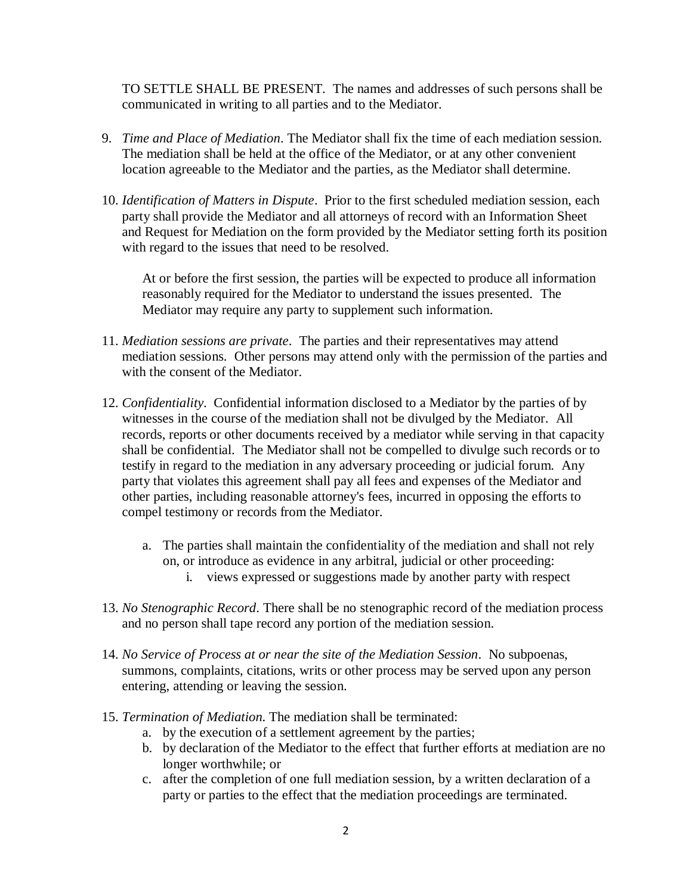TO SETTLE SHALL BE PRESENT. The names and addresses of such persons shall be communicated in writing to all parties and to the Mediator.

- 9. *Time and Place of Mediation*. The Mediator shall fix the time of each mediation session. The mediation shall be held at the office of the Mediator, or at any other convenient location agreeable to the Mediator and the parties, as the Mediator shall determine.
- 10. *Identification of Matters in Dispute*. Prior to the first scheduled mediation session, each party shall provide the Mediator and all attorneys of record with an Information Sheet and Request for Mediation on the form provided by the Mediator setting forth its position with regard to the issues that need to be resolved.

At or before the first session, the parties will be expected to produce all information reasonably required for the Mediator to understand the issues presented. The Mediator may require any party to supplement such information.

- 11. *Mediation sessions are private*. The parties and their representatives may attend mediation sessions. Other persons may attend only with the permission of the parties and with the consent of the Mediator.
- 12. *Confidentiality*. Confidential information disclosed to a Mediator by the parties of by witnesses in the course of the mediation shall not be divulged by the Mediator. All records, reports or other documents received by a mediator while serving in that capacity shall be confidential. The Mediator shall not be compelled to divulge such records or to testify in regard to the mediation in any adversary proceeding or judicial forum. Any party that violates this agreement shall pay all fees and expenses of the Mediator and other parties, including reasonable attorney's fees, incurred in opposing the efforts to compel testimony or records from the Mediator.
	- a. The parties shall maintain the confidentiality of the mediation and shall not rely on, or introduce as evidence in any arbitral, judicial or other proceeding:
		- i. views expressed or suggestions made by another party with respect
- 13. *No Stenographic Record*. There shall be no stenographic record of the mediation process and no person shall tape record any portion of the mediation session.
- 14. *No Service of Process at or near the site of the Mediation Session*. No subpoenas, summons, complaints, citations, writs or other process may be served upon any person entering, attending or leaving the session.
- 15. *Termination of Mediation*. The mediation shall be terminated:
	- a. by the execution of a settlement agreement by the parties;
	- b. by declaration of the Mediator to the effect that further efforts at mediation are no longer worthwhile; or
	- c. after the completion of one full mediation session, by a written declaration of a party or parties to the effect that the mediation proceedings are terminated.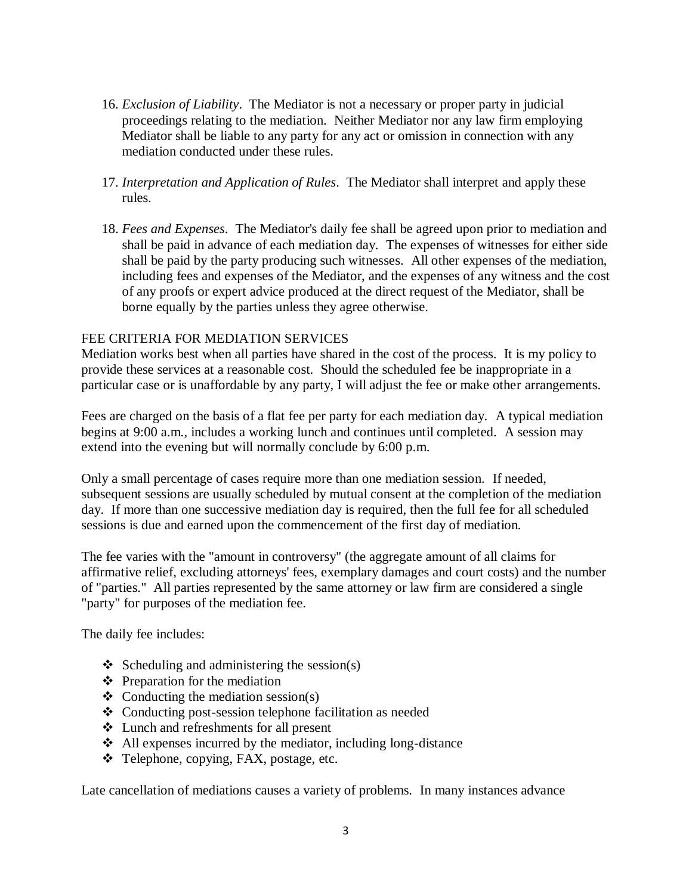- 16. *Exclusion of Liability*. The Mediator is not a necessary or proper party in judicial proceedings relating to the mediation. Neither Mediator nor any law firm employing Mediator shall be liable to any party for any act or omission in connection with any mediation conducted under these rules.
- 17. *Interpretation and Application of Rules*. The Mediator shall interpret and apply these rules.
- 18. *Fees and Expenses*. The Mediator's daily fee shall be agreed upon prior to mediation and shall be paid in advance of each mediation day. The expenses of witnesses for either side shall be paid by the party producing such witnesses. All other expenses of the mediation, including fees and expenses of the Mediator, and the expenses of any witness and the cost of any proofs or expert advice produced at the direct request of the Mediator, shall be borne equally by the parties unless they agree otherwise.

## FEE CRITERIA FOR MEDIATION SERVICES

Mediation works best when all parties have shared in the cost of the process. It is my policy to provide these services at a reasonable cost. Should the scheduled fee be inappropriate in a particular case or is unaffordable by any party, I will adjust the fee or make other arrangements.

Fees are charged on the basis of a flat fee per party for each mediation day. A typical mediation begins at 9:00 a.m., includes a working lunch and continues until completed. A session may extend into the evening but will normally conclude by 6:00 p.m.

Only a small percentage of cases require more than one mediation session. If needed, subsequent sessions are usually scheduled by mutual consent at the completion of the mediation day. If more than one successive mediation day is required, then the full fee for all scheduled sessions is due and earned upon the commencement of the first day of mediation.

The fee varies with the "amount in controversy" (the aggregate amount of all claims for affirmative relief, excluding attorneys' fees, exemplary damages and court costs) and the number of "parties." All parties represented by the same attorney or law firm are considered a single "party" for purposes of the mediation fee.

The daily fee includes:

- $\triangleleft$  Scheduling and administering the session(s)
- $\triangleleft$  Preparation for the mediation
- $\triangleleft$  Conducting the mediation session(s)
- Conducting post-session telephone facilitation as needed
- Lunch and refreshments for all present
- $\triangle$  All expenses incurred by the mediator, including long-distance
- Telephone, copying, FAX, postage, etc.

Late cancellation of mediations causes a variety of problems. In many instances advance